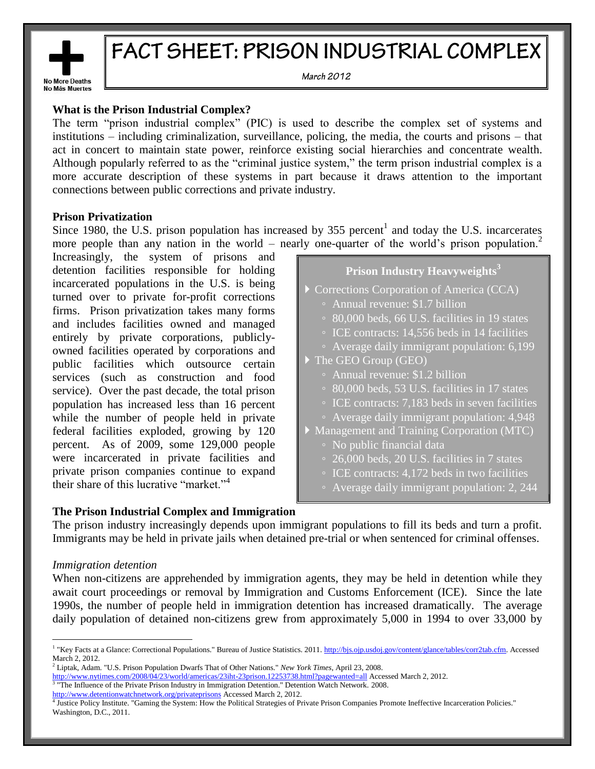

# FACT SHEET: PRISON INDUSTRIAL COMPLEX

March 2012

# **What is the Prison Industrial Complex?**

The term "prison industrial complex" (PIC) is used to describe the complex set of systems and institutions – including criminalization, surveillance, policing, the media, the courts and prisons – that act in concert to maintain state power, reinforce existing social hierarchies and concentrate wealth. Although popularly referred to as the "criminal justice system," the term prison industrial complex is a more accurate description of these systems in part because it draws attention to the important connections between public corrections and private industry.

# **Prison Privatization**

Since 1980, the U.S. prison population has increased by 355 percent<sup>1</sup> and today the U.S. incarcerates more people than any nation in the world – nearly one-quarter of the world's prison population.<sup>2</sup>

Increasingly, the system of prisons and detention facilities responsible for holding incarcerated populations in the U.S. is being turned over to private for-profit corrections firms. Prison privatization takes many forms and includes facilities owned and managed entirely by private corporations, publiclyowned facilities operated by corporations and public facilities which outsource certain services (such as construction and food service). Over the past decade, the total prison population has increased less than 16 percent while the number of people held in private federal facilities exploded, growing by 120 percent. As of 2009, some 129,000 people were incarcerated in private facilities and private prison companies continue to expand their share of this lucrative "market."<sup>4</sup>

# **Prison Industry Heavyweights<sup>3</sup>**

**Corrections Corporation of America (CCA)** ◦ Annual revenue: \$1.7 billion ◦ 80,000 beds, 66 U.S. facilities in 19 states ◦ ICE contracts: 14,556 beds in 14 facilities ◦ Average daily immigrant population: 6,199 The GEO Group (GEO) ◦ Annual revenue: \$1.2 billion ◦ 80,000 beds, 53 U.S. facilities in 17 states ◦ ICE contracts: 7,183 beds in seven facilities ◦ Average daily immigrant population: 4,948 Management and Training Corporation (MTC) ◦ No public financial data ◦ 26,000 beds, 20 U.S. facilities in 7 states ◦ ICE contracts: 4,172 beds in two facilities ◦ Average daily immigrant population: 2, 244

# **The Prison Industrial Complex and Immigration**

The prison industry increasingly depends upon immigrant populations to fill its beds and turn a profit. Immigrants may be held in private jails when detained pre-trial or when sentenced for criminal offenses.

# *Immigration detention*

 $\overline{a}$ 

When non-citizens are apprehended by immigration agents, they may be held in detention while they await court proceedings or removal by Immigration and Customs Enforcement (ICE). Since the late 1990s, the number of people held in immigration detention has increased dramatically. The average daily population of detained non-citizens grew from approximately 5,000 in 1994 to over 33,000 by

<http://www.detentionwatchnetwork.org/privateprisons> Accessed March 2, 2012.

<sup>&</sup>lt;sup>1</sup> "Key Facts at a Glance: Correctional Populations." Bureau of Justice Statistics. 2011[. http://bjs.ojp.usdoj.gov/content/glance/tables/corr2tab.cfm.](http://bjs.ojp.usdoj.gov/content/glance/tables/corr2tab.cfm) Accessed March 2, 2012.

<sup>2</sup> Liptak, Adam. "U.S. Prison Population Dwarfs That of Other Nations." *New York Times*, April 23, 2008.

<http://www.nytimes.com/2008/04/23/world/americas/23iht-23prison.12253738.html?pagewanted=all> Accessed March 2, 2012. <sup>3</sup> "The Influence of the Private Prison Industry in Immigration Detention." Detention Watch Network. 2008.

<sup>4</sup> Justice Policy Institute. "Gaming the System: How the Political Strategies of Private Prison Companies Promote Ineffective Incarceration Policies." Washington, D.C., 2011.